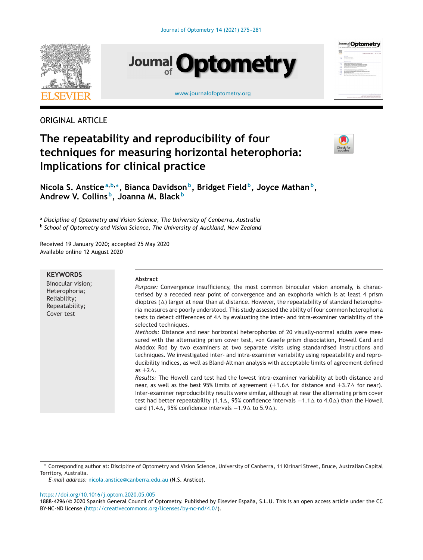

# **Journal Optometry**



#### [www.journalofoptometry.org](http://www.journalofoptometry.org)

# ORIGINAL ARTICLE

# **The repeatability and reproducibility of four techniques for measuring horizontal heterophoria: Implications for clinical practice**



**Nicola S. Anstice<sup>a</sup>,b,∗, Bianca Davidsonb, Bridget Field b, Joyce Mathanb, Andrew V. Collins b, Joanna M. Black <sup>b</sup>**

<sup>a</sup> *Discipline of Optometry and Vision Science, The University of Canberra, Australia* <sup>b</sup> *School of Optometry and Vision Science, The University of Auckland, New Zealand*

Received 19 January 2020; accepted 25 May 2020 Available online 12 August 2020

#### **KEYWORDS**

#### Binocular vision; Heterophoria; Reliability; Repeatability; Cover test **Abstract** *Purpose:* Convergence insufficiency, the most common binocular vision anomaly, is characterised by a receded near point of convergence and an exophoria which is at least 4 prism dioptres  $(\Delta)$  larger at near than at distance. However, the repeatability of standard heterophoria measures are poorly understood. This study assessed the ability of four common heterophoria tests to detect differences of  $4\Delta$  by evaluating the inter- and intra-examiner variability of the selected techniques. *Methods:* Distance and near horizontal heterophorias of 20 visually-normal adults were measured with the alternating prism cover test, von Graefe prism dissociation, Howell Card and Maddox Rod by two examiners at two separate visits using standardised instructions and techniques. We investigated inter- and intra-examiner variability using repeatability and reproducibility indices, as well as Bland-Altman analysis with acceptable limits of agreement defined as  $\pm 2\Delta$ . *Results:* The Howell card test had the lowest intra-examiner variability at both distance and near, as well as the best 95% limits of agreement  $(\pm 1.6 \Delta$  for distance and  $\pm 3.7 \Delta$  for near). Inter-examiner reproducibility results were similar, although at near the alternating prism cover test had better repeatability (1.1∆, 95% confidence intervals  $-1.1\Delta$  to 4.0 $\Delta$ ) than the Howell

card (1.4 $\Delta$ , 95% confidence intervals  $-1.9\Delta$  to 5.9 $\Delta$ ).

*E-mail address:* [nicola.anstice@canberra.edu.au](mailto:nicola.anstice@canberra.edu.au) (N.S. Anstice).

<https://doi.org/10.1016/j.optom.2020.05.005>

<sup>∗</sup> Corresponding author at: Discipline of Optometry and Vision Science, University of Canberra, 11 Kirinari Street, Bruce, Australian Capital Territory, Australia.

<sup>1888-4296/© 2020</sup> Spanish General Council of Optometry. Published by Elsevier España, S.L.U. This is an open access article under the CC BY-NC-ND license (<http://creativecommons.org/licenses/by-nc-nd/4.0/>).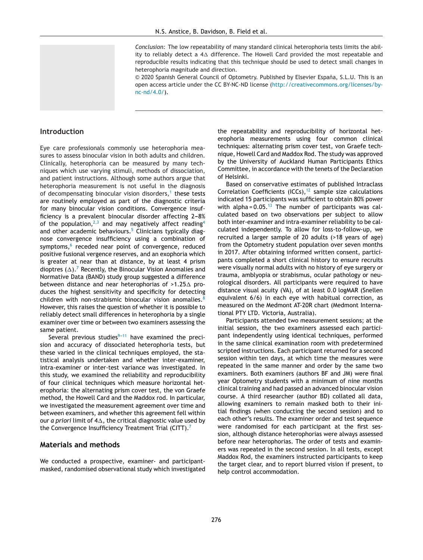*Conclusion:* The low repeatability of many standard clinical heterophoria tests limits the ability to reliably detect a 4 $\Delta$  difference. The Howell Card provided the most repeatable and reproducible results indicating that this technique should be used to detect small changes in heterophoria magnitude and direction.

© 2020 Spanish General Council of Optometry. Published by Elsevier España, S.L.U. This is an open access article under the CC BY-NC-ND license [\(http://creativecommons.org/licenses/by](http://creativecommons.org/licenses/by-nc-nd/4.0/)[nc-nd/4.0/](http://creativecommons.org/licenses/by-nc-nd/4.0/)).

### **Introduction**

Eye care professionals commonly use heterophoria measures to assess binocular vision in both adults and children. Clinically, heterophoria can be measured by many techniques which use varying stimuli, methods of dissociation, and patient instructions. Although some authors argue that heterophoria measurement is not useful in the diagnosis of decompensating binocular vision disorders, $<sup>1</sup>$  $<sup>1</sup>$  $<sup>1</sup>$  these tests</sup> are routinely employed as part of the diagnostic criteria for many binocular vision conditions. Convergence insufficiency is a prevalent binocular disorder affecting  $2-8%$ of the population,<sup>[2,3](#page-6-0)</sup> and may negatively affect reading<sup>[4](#page-6-0)</sup> and other academic behaviours. $5$  Clinicians typically diagnose convergence insufficiency using a combination of symptoms,<sup>[6](#page-6-0)</sup> receded near point of convergence, reduced positive fusional vergence reserves, and an exophoria which is greater at near than at distance, by at least 4 prism dioptres ( $\Delta$ ).  $^7$  $^7$  Recently, the Binocular Vision Anomalies and Normative Data (BAND) study group suggested a difference between distance and near heterophorias of >1.25 $\vartriangle$  produces the highest sensitivity and specificity for detecting children with non-strabismic binocular vision anomalies.<sup>[8](#page-6-0)</sup> However, this raises the question of whether it is possible to reliably detect small differences in heterophoria by a single examiner over time or between two examiners assessing the same patient.

Several previous studies $9-11$  have examined the precision and accuracy of dissociated heterophoria tests, but these varied in the clinical techniques employed, the statistical analysis undertaken and whether inter-examiner, intra-examiner or inter-test variance was investigated. In this study, we examined the reliability and reproducibility of four clinical techniques which measure horizontal heterophoria: the alternating prism cover test, the von Graefe method, the Howell Card and the Maddox rod. In particular, we investigated the measurement agreement over time and between examiners, and whether this agreement fell within our *a priori* limit of 4 $\Delta$ , the critical diagnostic value used by the Convergence Insufficiency Treatment Trial (CITT).<sup>[7](#page-6-0)</sup>

# **Materials and methods**

We conducted a prospective, examiner- and participantmasked, randomised observational study which investigated

the repeatability and reproducibility of horizontal heterophoria measurements using four common clinical techniques: alternating prism cover test, von Graefe technique, Howell Card and Maddox Rod. The study was approved by the University of Auckland Human Participants Ethics Committee, in accordance with the tenets of the Declaration of Helsinki.

Based on conservative estimates of published Intraclass Correlation Coefficients (ICCs), $12$  sample size calculations indicated 15 participants was sufficient to obtain 80% power with alpha =  $0.05.^{13}$  $0.05.^{13}$  $0.05.^{13}$  The number of participants was calculated based on two observations per subject to allow both inter-examiner and intra-examiner reliability to be calculated independently. To allow for loss-to-follow-up, we recruited a larger sample of 20 adults (>18 years of age) from the Optometry student population over seven months in 2017. After obtaining informed written consent, participants completed a short clinical history to ensure recruits were visually normal adults with no history of eye surgery or trauma, amblyopia or strabismus, ocular pathology or neurological disorders. All participants were required to have distance visual acuity (VA), of at least 0.0 logMAR (Snellen equivalent 6/6) in each eye with habitual correction, as measured on the Medmont AT-20R chart (Medmont International PTY LTD. Victoria, Australia).

Participants attended two measurement sessions; at the initial session, the two examiners assessed each participant independently using identical techniques, performed in the same clinical examination room with predetermined scripted instructions. Each participant returned for a second session within ten days, at which time the measures were repeated in the same manner and order by the same two examiners. Both examiners (authors BF and JM) were final year Optometry students with a minimum of nine months clinical training and had passed an advanced binocular vision course. A third researcher (author BD) collated all data, allowing examiners to remain masked both to their initial findings (when conducting the second session) and to each other's results. The examiner order and test sequence were randomised for each participant at the first session, although distance heterophorias were always assessed before near heterophorias. The order of tests and examiners was repeated in the second session. In all tests, except Maddox Rod, the examiners instructed participants to keep the target clear, and to report blurred vision if present, to help control accommodation.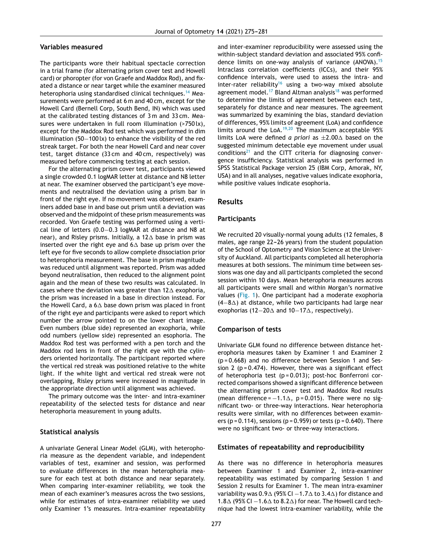#### **Variables measured**

The participants wore their habitual spectacle correction in a trial frame (for alternating prism cover test and Howell card) or phoropter (for von Graefe and Maddox Rod), and fixated a distance or near target while the examiner measured heterophoria using standardised clinical techniques.<sup>[14](#page-6-0)</sup> Measurements were performed at 6 m and 40 cm, except for the Howell Card (Bernell Corp, South Bend, IN) which was used at the calibrated testing distances of 3 m and 33 cm. Measures were undertaken in full room illumination (>750 lx), except for the Maddox Rod test which was performed in dim illumination (50−100 lx) to enhance the visibility of the red streak target. For both the near Howell Card and near cover test, target distance (33 cm and 40 cm, respectively) was measured before commencing testing at each session.

For the alternating prism cover test, participants viewed a single crowded 0.1 logMAR letter at distance and N8 letter at near. The examiner observed the participant's eye movements and neutralised the deviation using a prism bar in front of the right eye. If no movement was observed, examiners added base in and base out prism until a deviation was observed and the midpoint of these prism measurements was recorded. Von Graefe testing was performed using a vertical line of letters (0.0−0.3 logMAR at distance and N8 at near), and Risley prisms. Initially, a 12 $\Delta$  base in prism was inserted over the right eye and 6 $\Delta$  base up prism over the left eye for five seconds to allow complete dissociation prior to heterophoria measurement. The base in prism magnitude was reduced until alignment was reported. Prism was added beyond neutralisation, then reduced to the alignment point again and the mean of these two results was calculated. In cases where the deviation was greater than 12 $\Delta$  exophoria, the prism was increased in a base in direction instead. For the Howell Card, a 6 $\vartriangle$  base down prism was placed in front of the right eye and participants were asked to report which number the arrow pointed to on the lower chart image. Even numbers (blue side) represented an exophoria, while odd numbers (yellow side) represented an esophoria. The Maddox Rod test was performed with a pen torch and the Maddox rod lens in front of the right eye with the cylinders oriented horizontally. The participant reported where the vertical red streak was positioned relative to the white light. If the white light and vertical red streak were not overlapping, Risley prisms were increased in magnitude in the appropriate direction until alignment was achieved.

The primary outcome was the inter- and intra-examiner repeatability of the selected tests for distance and near heterophoria measurement in young adults.

# **Statistical analysis**

A univariate General Linear Model (GLM), with heterophoria measure as the dependent variable, and independent variables of test, examiner and session, was performed to evaluate differences in the mean heterophoria measure for each test at both distance and near separately. When comparing inter-examiner reliability, we took the mean of each examiner's measures across the two sessions, while for estimates of intra-examiner reliability we used only Examiner 1's measures. Intra-examiner repeatability and inter-examiner reproducibility were assessed using the within-subject standard deviation and associated 95% confi-dence limits on one-way analysis of variance (ANOVA).<sup>[15](#page-6-0)</sup> Intraclass correlation coefficients (ICCs), and their 95% confidence intervals, were used to assess the intra- and inter-rater reliability<sup>[16](#page-6-0)</sup> using a two-way mixed absolute agreement model.<sup>[17](#page-6-0)</sup> Bland Altman analysis<sup>[18](#page-6-0)</sup> was performed to determine the limits of agreement between each test, separately for distance and near measures. The agreement was summarized by examining the bias, standard deviation of differences, 95% limits of agreement (LoA) and confidence limits around the LoA.<sup>[19,20](#page-6-0)</sup> The maximum acceptable  $95\%$ limits LoA were defined *a priori* as  $\pm 2.00\Delta$  based on the suggested minimum detectable eye movement under usual conditions<sup>[21](#page-6-0)</sup> and the CITT criteria for diagnosing convergence insufficiency. Statistical analysis was performed in SPSS Statistical Package version 25 (IBM Corp, Amorak, NY, USA) and in all analyses, negative values indicate exophoria, while positive values indicate esophoria.

### **Results**

#### **Participants**

We recruited 20 visually-normal young adults (12 females, 8 males, age range 22-26 years) from the student population of the School of Optometry and Vision Science at the University of Auckland. All participants completed all heterophoria measures at both sessions. The minimum time between sessions was one day and all participants completed the second session within 10 days. Mean heterophoria measures across all participants were small and within Morgan's normative values [\(Fig.](#page-3-0) 1). One participant had a moderate exophoria (4−8-) at distance, while two participants had large near exophorias (12–20∆ and 10–17∆, respectively).

#### **Comparison of tests**

Univariate GLM found no difference between distance heterophoria measures taken by Examiner 1 and Examiner 2 (p = 0.668) and no difference between Session 1 and Session 2 ( $p = 0.474$ ). However, there was a significant effect of heterophoria test (p = 0.013); post-hoc Bonferroni corrected comparisons showed a significant difference between the alternating prism cover test and Maddox Rod results (mean difference =  $-1.1\Delta$ , p=0.015). There were no significant two- or three-way interactions. Near heterophoria results were similar, with no differences between examiners ( $p = 0.114$ ), sessions ( $p = 0.959$ ) or tests ( $p = 0.640$ ). There were no significant two- or three-way interactions.

#### **Estimates of repeatability and reproducibility**

As there was no difference in heterophoria measures between Examiner 1 and Examiner 2, intra-examiner repeatability was estimated by comparing Session 1 and Session 2 results for Examiner 1. The mean intra-examiner variability was  $0.9\Delta$  (95% CI  $-1.7\Delta$  to 3.4 $\Delta$ ) for distance and 1.8∆ (95% CI –1.6∆ to 8.2∆) for near. The Howell card technique had the lowest intra-examiner variability, while the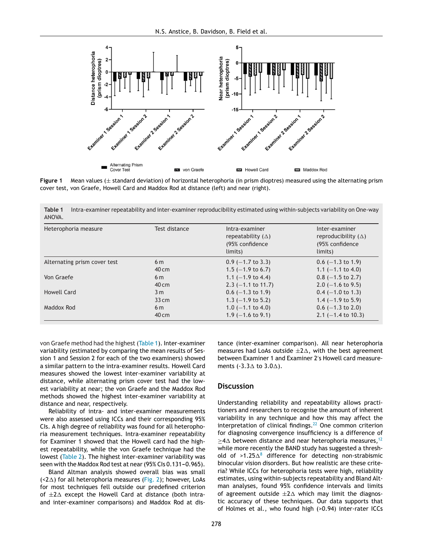<span id="page-3-0"></span>

**Figure 1** Mean values (± standard deviation) of horizontal heterophoria (in prism dioptres) measured using the alternating prism cover test, von Graefe, Howell Card and Maddox Rod at distance (left) and near (right).

**Table 1** Intra-examiner repeatability and inter-examiner reproducibility estimated using within-subjects variability on One-way ANOVA.

| Heterophoria measure         | Test distance   | Intra-examiner<br>repeatability $(\Delta)$<br>(95% confidence<br>limits) | Inter-examiner<br>reproducibility $(\Delta)$<br>(95% confidence<br>limits) |
|------------------------------|-----------------|--------------------------------------------------------------------------|----------------------------------------------------------------------------|
| Alternating prism cover test | 6 <sub>m</sub>  | $0.9$ (-1.7 to 3.3)                                                      | $0.6$ (-1.3 to 1.9)                                                        |
|                              | $40 \text{ cm}$ | $1.5$ (-1.9 to 6.7)                                                      | 1.1 $(-1.1$ to 4.0)                                                        |
| Von Graefe                   | 6 <sub>m</sub>  | 1.1 $(-1.9 \text{ to } 4.4)$                                             | $0.8$ (-1.5 to 2.7)                                                        |
|                              | $40 \text{ cm}$ | $2.3$ (-1.1 to 11.7)                                                     | $2.0$ (-1.6 to 9.5)                                                        |
| Howell Card                  | 3 <sub>m</sub>  | $0.6$ (-1.3 to 1.9)                                                      | $0.4$ (-1.0 to 1.3)                                                        |
|                              | 33cm            | 1.3 $(-1.9 \text{ to } 5.2)$                                             | 1.4 $(-1.9 \text{ to } 5.9)$                                               |
| Maddox Rod                   | 6 <sub>m</sub>  | $1.0$ (-1.1 to 4.0)                                                      | $0.6$ (-1.3 to 2.0)                                                        |
|                              | 40 cm           | $1.9$ (-1.6 to 9.1)                                                      | $2.1$ (-1.4 to 10.3)                                                       |

von Graefe method had the highest (Table 1). Inter-examiner variability (estimated by comparing the mean results of Session 1 and Session 2 for each of the two examiners) showed a similar pattern to the intra-examiner results. Howell Card measures showed the lowest inter-examiner variability at distance, while alternating prism cover test had the lowest variability at near; the von Graefe and the Maddox Rod methods showed the highest inter-examiner variability at distance and near, respectively.

Reliability of intra- and inter-examiner measurements were also assessed using ICCs and their corresponding 95% CIs. A high degree of reliability was found for all heterophoria measurement techniques. Intra-examiner repeatability for Examiner 1 showed that the Howell card had the highest repeatability, while the von Graefe technique had the lowest ([Table](#page-4-0) 2). The highest inter-examiner variability was seen with the Maddox Rod test at near (95% CIs 0.131-0.965).

Bland Altman analysis showed overall bias was small  $($ <2 $\Delta$ ) for all heterophoria measures [\(Fig.](#page-4-0) 2); however, LoAs for most techniques fell outside our predefined criterion of  $\pm 2\Delta$  except the Howell Card at distance (both intraand inter-examiner comparisons) and Maddox Rod at distance (inter-examiner comparison). All near heterophoria measures had LoAs outside  $\pm 2\Delta$ , with the best agreement between Examiner 1 and Examiner 2 s Howell card measurements (-3.3 $\Delta$  to 3.0 $\Delta$ ).

# **Discussion**

Understanding reliability and repeatability allows practitioners and researchers to recognise the amount of inherent variability in any technique and how this may affect the interpretation of clinical findings. $^{22}$  $^{22}$  $^{22}$  One common criterion for diagnosing convergence insufficiency is a difference of  $\geq$ 4 $\Delta$  between distance and near heterophoria measures,<sup>[12](#page-6-0)</sup> while more recently the BAND study has suggested a threshold of >1.25 $\Delta^8$  $\Delta^8$  difference for detecting non-strabismic binocular vision disorders. But how realistic are these criteria? While ICCs for heterophoria tests were high, reliability estimates, using within-subjects repeatability and Bland Altman analyses, found 95% confidence intervals and limits of agreement outside  $\pm 2\Delta$  which may limit the diagnostic accuracy of these techniques. Our data supports that of Holmes et al., who found high (>0.94) inter-rater ICCs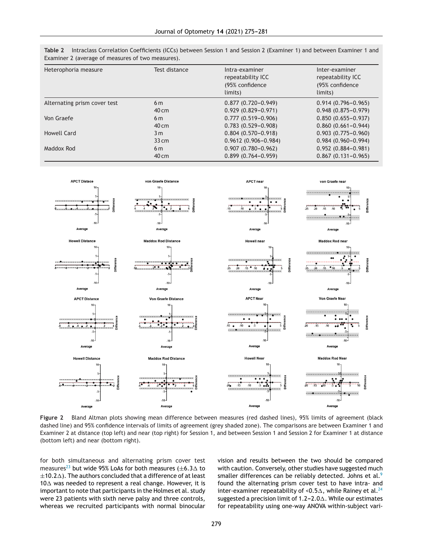| Heterophoria measure         | Test distance   | Intra-examiner<br>repeatability ICC<br>(95% confidence<br>limits) | Inter-examiner<br>repeatability ICC<br>(95% confidence<br>limits) |
|------------------------------|-----------------|-------------------------------------------------------------------|-------------------------------------------------------------------|
| Alternating prism cover test | 6 m             | $0.877(0.720 - 0.949)$                                            | $0.914(0.796 - 0.965)$                                            |
|                              | $40 \text{ cm}$ | $0.929(0.829 - 0.971)$                                            | $0.948(0.875 - 0.979)$                                            |
| Von Graefe                   | 6 m             | $0.777(0.519 - 0.906)$                                            | $0.850(0.655 - 0.937)$                                            |
|                              | $40 \text{ cm}$ | $0.783(0.529 - 0.908)$                                            | $0.860(0.661 - 0.944)$                                            |
| Howell Card                  | 3 m             | $0.804(0.570 - 0.918)$                                            | $0.903(0.775 - 0.960)$                                            |
|                              | 33cm            | $0.9612(0.906 - 0.984)$                                           | $0.984(0.960 - 0.994)$                                            |
| Maddox Rod                   | 6 <sub>m</sub>  | $0.907(0.780 - 0.962)$                                            | $0.952(0.884 - 0.981)$                                            |
|                              | $40 \text{ cm}$ | $0.899(0.764 - 0.959)$                                            | $0.867(0.131 - 0.965)$                                            |

<span id="page-4-0"></span>**Table 2** Intraclass Correlation Coefficients (ICCs) between Session 1 and Session 2 (Examiner 1) and between Examiner 1 and Examiner 2 (average of measures of two measures).



**Figure 2** Bland Altman plots showing mean difference between measures (red dashed lines), 95% limits of agreement (black dashed line) and 95% confidence intervals of limits of agreement (grey shaded zone). The comparisons are between Examiner 1 and Examiner 2 at distance (top left) and near (top right) for Session 1, and between Session 1 and Session 2 for Examiner 1 at distance (bottom left) and near (bottom right).

for both simultaneous and alternating prism cover test measures<sup>[23](#page-6-0)</sup> but wide 95% LoAs for both measures ( $\pm$ 6.3 $\Delta$  to  $\pm$ 10.2 $\Delta$ ). The authors concluded that a difference of at least  $10\Delta$  was needed to represent a real change. However, it is important to note that participants in the Holmes et al. study were 23 patients with sixth nerve palsy and three controls, whereas we recruited participants with normal binocular vision and results between the two should be compared with caution. Conversely, other studies have suggested much smaller differences can be reliably detected. Johns et al.<sup>[9](#page-6-0)</sup> found the alternating prism cover test to have intra- and inter-examiner repeatability of <0.5 $\Delta$ , while Rainey et al.<sup>[24](#page-6-0)</sup> suggested a precision limit of  $1.2$  –  $2.0\Delta$ . While our estimates for repeatability using one-way ANOVA within-subject vari-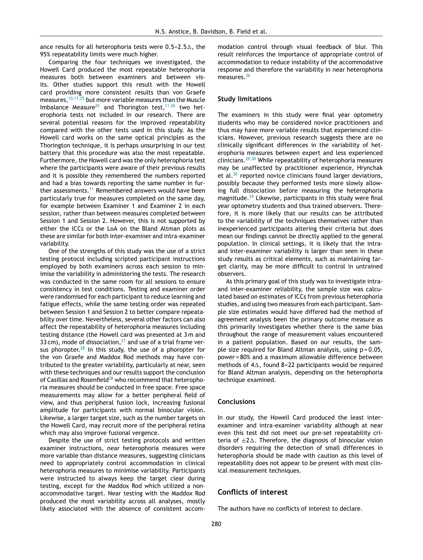ance results for all heterophoria tests were 0.5–2.5 $\vartriangle,$  the 95% repeatability limits were much higher.

Comparing the four techniques we investigated, the Howell Card produced the most repeatable heterophoria measures both between examiners and between visits. Other studies support this result with the Howell card providing more consistent results than von Graefe measures,[10,11,25](#page-6-0) but more variable measures than the Muscle Imbalance Measure<sup>[25](#page-6-0)</sup> and Thorington test,<sup>[11,26](#page-6-0)</sup> two heterophoria tests not included in our research. There are several potential reasons for the improved repeatability compared with the other tests used in this study. As the Howell card works on the same optical principles as the Thorington technique, it is perhaps unsurprising in our test battery that this procedure was also the most repeatable. Furthermore, the Howell card was the only heterophoria test where the participants were aware of their previous results and it is possible they remembered the numbers reported and had a bias towards reporting the same number in fur-ther assessments.<sup>[11](#page-6-0)</sup> Remembered answers would have been particularly true for measures completed on the same day, for example between Examiner 1 and Examiner 2 in each session, rather than between measures completed between Session 1 and Session 2. However, this is not supported by either the ICCs or the LoA on the Bland Altman plots as these are similar for both inter-examiner and intra-examiner variability.

One of the strengths of this study was the use of a strict testing protocol including scripted participant instructions employed by both examiners across each session to minimise the variability in administering the tests. The research was conducted in the same room for all sessions to ensure consistency in test conditions. Testing and examiner order were randomised for each participant to reduce learning and fatigue effects, while the same testing order was repeated between Session 1 and Session 2 to better compare repeatability over time. Nevertheless, several other factors can also affect the repeatability of heterophoria measures including testing distance (the Howell card was presented at 3 m and 33 cm), mode of dissociation, $^{27}$  $^{27}$  $^{27}$  and use of a trial frame versus phoropter. $28$  In this study, the use of a phoropter for the von Graefe and Maddox Rod methods may have contributed to the greater variability, particularly at near, seen with these techniques and our results support the conclusion of Casillas and Rosenfield $^{28}$  $^{28}$  $^{28}$  who recommend that heterophoria measures should be conducted in free space. Free space measurements may allow for a better peripheral field of view, and thus peripheral fusion lock, increasing fusional amplitude for participants with normal binocular vision. Likewise, a larger target size, such as the number targets on the Howell Card, may recruit more of the peripheral retina which may also improve fusional vergence.

Despite the use of strict testing protocols and written examiner instructions, near heterophoria measures were more variable than distance measures, suggesting clinicians need to appropriately control accommodation in clinical heterophoria measures to minimise variability. Participants were instructed to always keep the target clear during testing, except for the Maddox Rod which utilized a nonaccommodative target. Near testing with the Maddox Rod produced the most variability across all analyses, mostly likely associated with the absence of consistent accommodation control through visual feedback of blur. This result reinforces the importance of appropriate control of accommodation to reduce instability of the accommodative response and therefore the variability in near heterophoria measures.<sup>[26](#page-6-0)</sup>

#### **Study limitations**

The examiners in this study were final year optometry students who may be considered novice practitioners and thus may have more variable results that experienced clinicians. However, previous research suggests there are no clinically significant differences in the variability of heterophoria measures between expert and less experienced clinicians. $29,30$  While repeatability of heterophoria measures may be unaffected by practitioner experience, Hrynchak et al. $30$  reported novice clinicians found larger deviations, possibly because they performed tests more slowly allowing full dissociation before measuring the heterophoria magnitude.[29](#page-6-0) Likewise, participants in this study were final year optometry students and thus trained observers. Therefore, it is more likely that our results can be attributed to the variability of the techniques themselves rather than inexperienced participants altering their criteria but does mean our findings cannot be directly applied to the general population. In clinical settings, it is likely that the intraand inter-examiner variability is larger than seen in these study results as critical elements, such as maintaining target clarity, may be more difficult to control in untrained observers.

As this primary goal of this study was to investigate intraand inter-examiner reliability, the sample size was calculated based on estimates of ICCs from previous heterophoria studies, and using two measures from each participant. Sample size estimates would have differed had the method of agreement analysis been the primary outcome measure as this primarily investigates whether there is the same bias throughout the range of measurement values encountered in a patient population. Based on our results, the sample size required for Bland Altman analysis, using p = 0.05, power = 80% and a maximum allowable difference between methods of  $4\Delta$ , found 8–22 participants would be required for Bland Altman analysis, depending on the heterophoria technique examined.

#### **Conclusions**

In our study, the Howell Card produced the least interexaminer and intra-examiner variability although at near even this test did not meet our pre-set repeatability criteria of  $\pm 2\Delta$ . Therefore, the diagnosis of binocular vision disorders requiring the detection of small differences in heterophoria should be made with caution as this level of repeatability does not appear to be present with most clinical measurement techniques.

# **Conflicts of interest**

The authors have no conflicts of interest to declare.